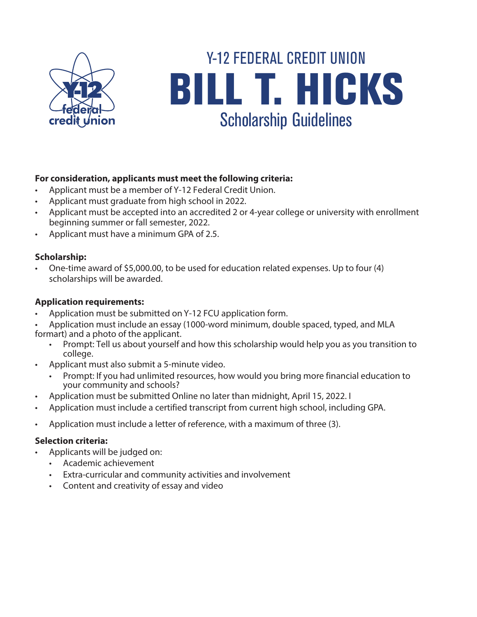

# BILL T. HICKS Scholarship Guidelines Y-12 FEDERAL CREDIT UNION

## **For consideration, applicants must meet the following criteria:**

- Applicant must be a member of Y-12 Federal Credit Union.
- Applicant must graduate from high school in 2022.
- Applicant must be accepted into an accredited 2 or 4-year college or university with enrollment beginning summer or fall semester, 2022.
- Applicant must have a minimum GPA of 2.5.

## **Scholarship:**

• One-time award of \$5,000.00, to be used for education related expenses. Up to four (4) scholarships will be awarded.

#### **Application requirements:**

- Application must be submitted on Y-12 FCU application form.
- Application must include an essay (1000-word minimum, double spaced, typed, and MLA formart) and a photo of the applicant.
	- Prompt: Tell us about yourself and how this scholarship would help you as you transition to college.
- Applicant must also submit a 5-minute video.
	- Prompt: If you had unlimited resources, how would you bring more financial education to your community and schools?
- Application must be submitted Online no later than midnight, April 15, 2022. I
- Application must include a certified transcript from current high school, including GPA.
- Application must include a letter of reference, with a maximum of three (3).

#### **Selection criteria:**

- Applicants will be judged on:
	- Academic achievement
	- Extra-curricular and community activities and involvement
	- Content and creativity of essay and video